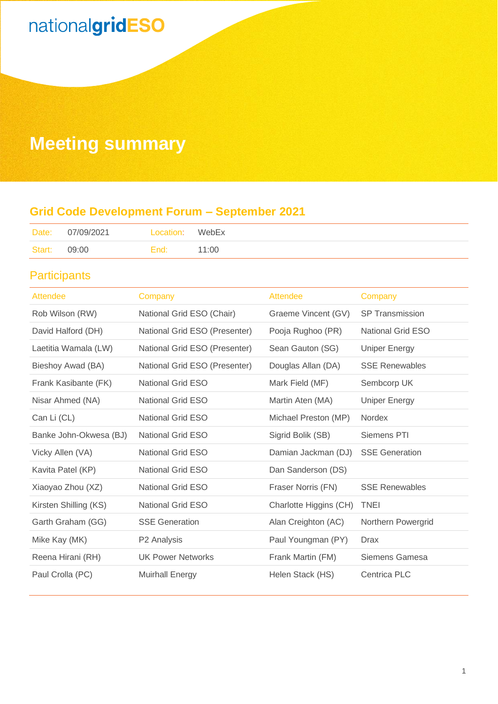## **Meeting summary**

### **Grid Code Development Forum – September 2021**

|        | Date: 07/09/2021 | Location: WebEx |       |
|--------|------------------|-----------------|-------|
| Start: | 09:00            | End:            | 11:00 |

### **Participants**

| <b>Attendee</b>        | Company                       | Attendee               | Company                  |
|------------------------|-------------------------------|------------------------|--------------------------|
| Rob Wilson (RW)        | National Grid ESO (Chair)     | Graeme Vincent (GV)    | <b>SP Transmission</b>   |
| David Halford (DH)     | National Grid ESO (Presenter) | Pooja Rughoo (PR)      | <b>National Grid ESO</b> |
| Laetitia Wamala (LW)   | National Grid ESO (Presenter) | Sean Gauton (SG)       | <b>Uniper Energy</b>     |
| Bieshoy Awad (BA)      | National Grid ESO (Presenter) | Douglas Allan (DA)     | <b>SSE Renewables</b>    |
| Frank Kasibante (FK)   | <b>National Grid ESO</b>      | Mark Field (MF)        | Sembcorp UK              |
| Nisar Ahmed (NA)       | <b>National Grid ESO</b>      | Martin Aten (MA)       | <b>Uniper Energy</b>     |
| Can Li (CL)            | <b>National Grid ESO</b>      | Michael Preston (MP)   | <b>Nordex</b>            |
| Banke John-Okwesa (BJ) | <b>National Grid ESO</b>      | Sigrid Bolik (SB)      | <b>Siemens PTI</b>       |
| Vicky Allen (VA)       | <b>National Grid ESO</b>      | Damian Jackman (DJ)    | <b>SSE Generation</b>    |
| Kavita Patel (KP)      | <b>National Grid ESO</b>      | Dan Sanderson (DS)     |                          |
| Xiaoyao Zhou (XZ)      | <b>National Grid ESO</b>      | Fraser Norris (FN)     | <b>SSE Renewables</b>    |
| Kirsten Shilling (KS)  | <b>National Grid ESO</b>      | Charlotte Higgins (CH) | <b>TNEI</b>              |
| Garth Graham (GG)      | <b>SSE Generation</b>         | Alan Creighton (AC)    | Northern Powergrid       |
| Mike Kay (MK)          | P <sub>2</sub> Analysis       | Paul Youngman (PY)     | Drax                     |
| Reena Hirani (RH)      | <b>UK Power Networks</b>      | Frank Martin (FM)      | Siemens Gamesa           |
| Paul Crolla (PC)       | <b>Muirhall Energy</b>        | Helen Stack (HS)       | <b>Centrica PLC</b>      |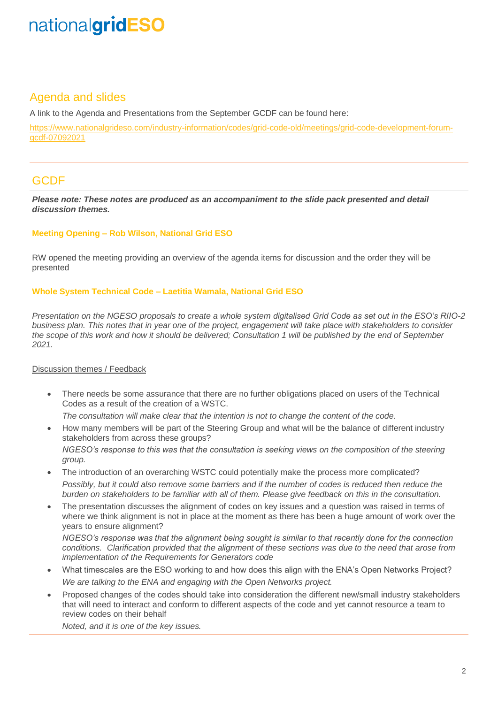### Agenda and slides

A link to the Agenda and Presentations from the September GCDF can be found here:

[https://www.nationalgrideso.com/industry-information/codes/grid-code-old/meetings/grid-code-development-forum](https://www.nationalgrideso.com/industry-information/codes/grid-code-old/meetings/grid-code-development-forum-gcdf-07092021)[gcdf-07092021](https://www.nationalgrideso.com/industry-information/codes/grid-code-old/meetings/grid-code-development-forum-gcdf-07092021)

### **GCDF**

*Please note: These notes are produced as an accompaniment to the slide pack presented and detail discussion themes.*

### **Meeting Opening – Rob Wilson, National Grid ESO**

RW opened the meeting providing an overview of the agenda items for discussion and the order they will be presented

#### **Whole System Technical Code – Laetitia Wamala, National Grid ESO**

*Presentation on the NGESO proposals to create a whole system digitalised Grid Code as set out in the ESO's RIIO-2 business plan. This notes that in year one of the project, engagement will take place with stakeholders to consider the scope of this work and how it should be delivered; Consultation 1 will be published by the end of September 2021.*

#### Discussion themes / Feedback

• There needs be some assurance that there are no further obligations placed on users of the Technical Codes as a result of the creation of a WSTC.

*The consultation will make clear that the intention is not to change the content of the code.*

• How many members will be part of the Steering Group and what will be the balance of different industry stakeholders from across these groups?

*NGESO's response to this was that the consultation is seeking views on the composition of the steering group.*

- The introduction of an overarching WSTC could potentially make the process more complicated? *Possibly, but it could also remove some barriers and if the number of codes is reduced then reduce the burden on stakeholders to be familiar with all of them. Please give feedback on this in the consultation.*
- The presentation discusses the alignment of codes on key issues and a question was raised in terms of where we think alignment is not in place at the moment as there has been a huge amount of work over the years to ensure alignment?

*NGESO's response was that the alignment being sought is similar to that recently done for the connection conditions. Clarification provided that the alignment of these sections was due to the need that arose from implementation of the Requirements for Generators code*

- What timescales are the ESO working to and how does this align with the ENA's Open Networks Project? *We are talking to the ENA and engaging with the Open Networks project.*
- Proposed changes of the codes should take into consideration the different new/small industry stakeholders that will need to interact and conform to different aspects of the code and yet cannot resource a team to review codes on their behalf

*Noted, and it is one of the key issues.*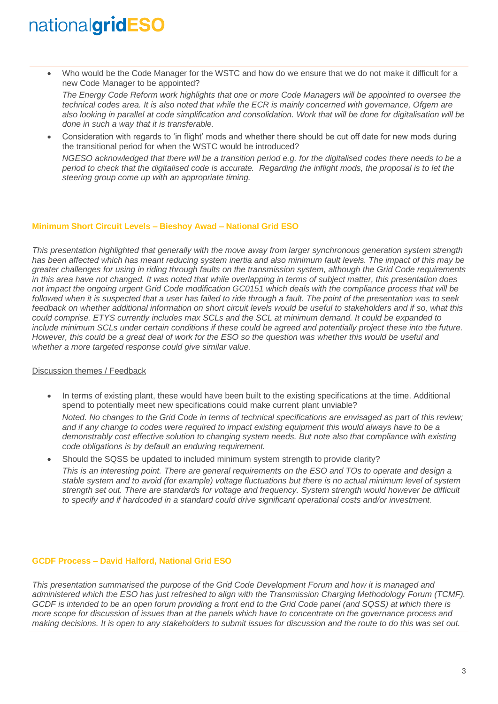• Who would be the Code Manager for the WSTC and how do we ensure that we do not make it difficult for a new Code Manager to be appointed?

*The Energy Code Reform work highlights that one or more Code Managers will be appointed to oversee the technical codes area. It is also noted that while the ECR is mainly concerned with governance, Ofgem are also looking in parallel at code simplification and consolidation. Work that will be done for digitalisation will be done in such a way that it is transferable.*

• Consideration with regards to 'in flight' mods and whether there should be cut off date for new mods during the transitional period for when the WSTC would be introduced? *NGESO acknowledged that there will be a transition period e.g. for the digitalised codes there needs to be a period to check that the digitalised code is accurate. Regarding the inflight mods, the proposal is to let the steering group come up with an appropriate timing.*

#### **Minimum Short Circuit Levels – Bieshoy Awad – National Grid ESO**

*This presentation highlighted that generally with the move away from larger synchronous generation system strength*  has been affected which has meant reducing system inertia and also minimum fault levels. The impact of this may be *greater challenges for using in riding through faults on the transmission system, although the Grid Code requirements in this area have not changed. It was noted that while overlapping in terms of subject matter, this presentation does not impact the ongoing urgent Grid Code modification GC0151 which deals with the compliance process that will be followed when it is suspected that a user has failed to ride through a fault. The point of the presentation was to seek feedback on whether additional information on short circuit levels would be useful to stakeholders and if so, what this could comprise. ETYS currently includes max SCLs and the SCL at minimum demand. It could be expanded to include minimum SCLs under certain conditions if these could be agreed and potentially project these into the future. However, this could be a great deal of work for the ESO so the question was whether this would be useful and whether a more targeted response could give similar value.*

#### Discussion themes / Feedback

• In terms of existing plant, these would have been built to the existing specifications at the time. Additional spend to potentially meet new specifications could make current plant unviable?

*Noted. No changes to the Grid Code in terms of technical specifications are envisaged as part of this review; and if any change to codes were required to impact existing equipment this would always have to be a demonstrably cost effective solution to changing system needs. But note also that compliance with existing code obligations is by default an enduring requirement.*

Should the SQSS be updated to included minimum system strength to provide clarity?

*This is an interesting point. There are general requirements on the ESO and TOs to operate and design a stable system and to avoid (for example) voltage fluctuations but there is no actual minimum level of system strength set out. There are standards for voltage and frequency. System strength would however be difficult to specify and if hardcoded in a standard could drive significant operational costs and/or investment.*

#### **GCDF Process – David Halford, National Grid ESO**

*This presentation summarised the purpose of the Grid Code Development Forum and how it is managed and administered which the ESO has just refreshed to align with the Transmission Charging Methodology Forum (TCMF). GCDF is intended to be an open forum providing a front end to the Grid Code panel (and SQSS) at which there is more scope for discussion of issues than at the panels which have to concentrate on the governance process and making decisions. It is open to any stakeholders to submit issues for discussion and the route to do this was set out.*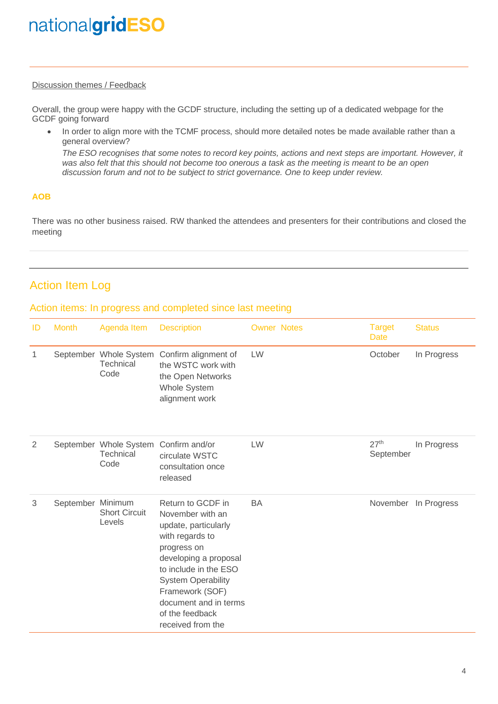### Discussion themes / Feedback

Overall, the group were happy with the GCDF structure, including the setting up of a dedicated webpage for the GCDF going forward

• In order to align more with the TCMF process, should more detailed notes be made available rather than a general overview?

*The ESO recognises that some notes to record key points, actions and next steps are important. However, it was also felt that this should not become too onerous a task as the meeting is meant to be an open discussion forum and not to be subject to strict governance. One to keep under review.*

### **AOB**

There was no other business raised. RW thanked the attendees and presenters for their contributions and closed the meeting

### Action Item Log

### Action items: In progress and completed since last meeting

| ID | <b>Month</b>      | Agenda Item                                 | <b>Description</b>                                                                                                                                                                                                                                                 | <b>Owner Notes</b> | <b>Target</b><br><b>Date</b>  | <b>Status</b> |
|----|-------------------|---------------------------------------------|--------------------------------------------------------------------------------------------------------------------------------------------------------------------------------------------------------------------------------------------------------------------|--------------------|-------------------------------|---------------|
| 1  |                   | September Whole System<br>Technical<br>Code | Confirm alignment of<br>the WSTC work with<br>the Open Networks<br>Whole System<br>alignment work                                                                                                                                                                  | LW                 | October                       | In Progress   |
| 2  |                   | September Whole System<br>Technical<br>Code | Confirm and/or<br>circulate WSTC<br>consultation once<br>released                                                                                                                                                                                                  | LW                 | 27 <sup>th</sup><br>September | In Progress   |
| 3  | September Minimum | <b>Short Circuit</b><br>Levels              | Return to GCDF in<br>November with an<br>update, particularly<br>with regards to<br>progress on<br>developing a proposal<br>to include in the ESO<br><b>System Operability</b><br>Framework (SOF)<br>document and in terms<br>of the feedback<br>received from the | <b>BA</b>          | November                      | In Progress   |